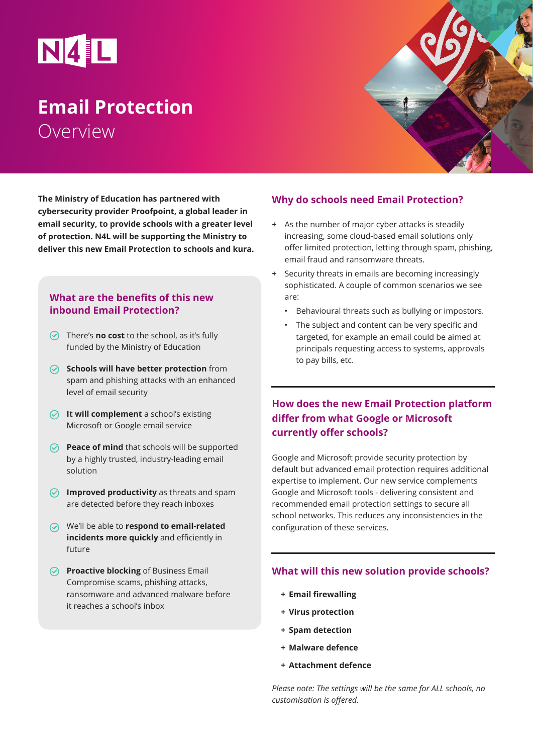

# **Email Protection** Overview

**The Ministry of Education has partnered with cybersecurity provider Proofpoint, a global leader in email security, to provide schools with a greater level of protection. N4L will be supporting the Ministry to deliver this new Email Protection to schools and kura.**

### **What are the benefits of this new inbound Email Protection?**

- There's **no cost** to the school, as it's fully funded by the Ministry of Education
- **Schools will have better protection** from spam and phishing attacks with an enhanced level of email security
- *O* It will complement a school's existing Microsoft or Google email service
- **Peace of mind** that schools will be supported by a highly trusted, industry-leading email solution
- $\odot$  Improved productivity as threats and spam are detected before they reach inboxes
- We'll be able to **respond to email-related incidents more quickly** and efficiently in future
- **Proactive blocking** of Business Email Compromise scams, phishing attacks, ransomware and advanced malware before it reaches a school's inbox

## **Why do schools need Email Protection?**

- **+** As the number of major cyber attacks is steadily increasing, some cloud-based email solutions only offer limited protection, letting through spam, phishing, email fraud and ransomware threats.
- **+** Security threats in emails are becoming increasingly sophisticated. A couple of common scenarios we see are:
	- Behavioural threats such as bullying or impostors.
	- The subject and content can be very specific and targeted, for example an email could be aimed at principals requesting access to systems, approvals to pay bills, etc.

## **How does the new Email Protection platform differ from what Google or Microsoft currently offer schools?**

Google and Microsoft provide security protection by default but advanced email protection requires additional expertise to implement. Our new service complements Google and Microsoft tools - delivering consistent and recommended email protection settings to secure all school networks. This reduces any inconsistencies in the configuration of these services.

#### **What will this new solution provide schools?**

- **+ Email firewalling**
- **+ Virus protection**
- **+ Spam detection**
- **+ Malware defence**
- **+ Attachment defence**

*Please note: The settings will be the same for ALL schools, no customisation is offered.*